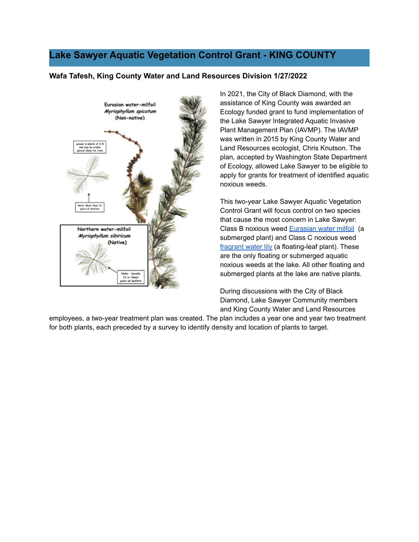# **Lake Sawyer Aquatic Vegetation Control Grant - KING COUNTY**

### **Wafa Tafesh, King County Water and Land Resources Division 1/27/2022**



In 2021, the City of Black Diamond, with the assistance of King County was awarded an Ecology funded grant to fund implementation of the Lake Sawyer Integrated Aquatic Invasive Plant Management Plan (IAVMP). The IAVMP was written in 2015 by King County Water and Land Resources ecologist, Chris Knutson. The plan, accepted by Washington State Department of Ecology, allowed Lake Sawyer to be eligible to apply for grants for treatment of identified aquatic noxious weeds.

This two-year Lake Sawyer Aquatic Vegetation Control Grant will focus control on two species that cause the most concern in Lake Sawyer: Class B noxious weed **Eurasian water milfoil** (a submerged plant) and Class C noxious weed fragrant water lily (a floating-leaf plant). These are the only floating or submerged aquatic noxious weeds at the lake. All other floating and submerged plants at the lake are native plants.

During discussions with the City of Black Diamond, Lake Sawyer Community members and King County Water and Land Resources

employees, a two-year treatment plan was created. The plan includes a year one and year two treatment for both plants, each preceded by a survey to identify density and location of plants to target.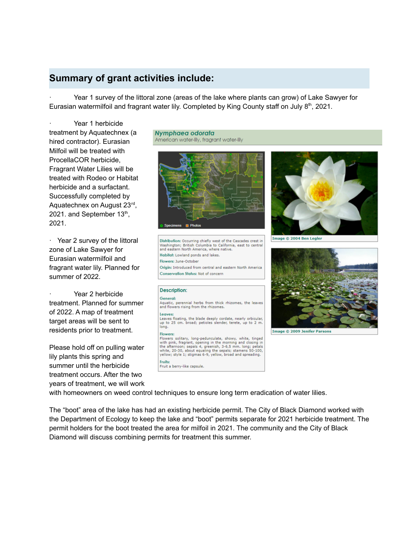## **Summary of grant activities include:**

· Year 1 survey of the littoral zone (areas of the lake where plants can grow) of Lake Sawyer for Eurasian watermilfoil and fragrant water lily. Completed by King County staff on July 8<sup>th</sup>, 2021.

Year 1 herbicide treatment by Aquatechnex (a hired contractor). Eurasian Milfoil will be treated with ProcellaCOR herbicide, Fragrant Water Lilies will be treated with Rodeo or Habitat herbicide and a surfactant. Successfully completed by Aquatechnex on August 23<sup>rd</sup>, 2021. and September 13<sup>th</sup>, 2021.

· Year 2 survey of the littoral zone of Lake Sawyer for Eurasian watermilfoil and fragrant water lily. Planned for summer of 2022.

Year 2 herbicide treatment. Planned for summer of 2022. A map of treatment target areas will be sent to residents prior to treatment.

Please hold off on pulling water lily plants this spring and summer until the herbicide treatment occurs. After the two years of treatment, we will work

#### Nymphaea odorata American water-lily, fragrant water-lily



Distribution: Occurring chiefly west of the Cascades crest in Washington; British Columbia to California, east to central<br>and eastern North America, where native. Habilal: Lowland ponds and lakes. Flowers: June-October Origin: Introduced from central and eastern North America Conservation Status: Not of concern

### **Description:**

### General: Aquatic, perennial herbs from thick rhizomes, the leaves<br>and flowers rising from the rhizomes. Leaves:<br>Leaves floating, the blade deeply cordate, nearly orbicular,<br>up to 25 cm. broad; petioles slender, terete, up to 2 m.<br>long. Leaves:

Flowers:

Flowers solitary, long-pedunculate, showy, white, tinged interior systems, interior and morning and closing in<br>the afternoon; sepals 4, greenish, 3-6.5 mm. long; petals<br>the afternoon; sepals 4, greenish, 3-6.5 mm. long; petals<br>white, 20-30, about equaling the sepals; stamens 50yellow; style 1; stigmas 6-9, yellow, broad and spreading. **Fruits:** 

Fruit a berry-like capsule.



Image © 2004 Ben Legler



Image © 2009 Jenifer Parsons

with homeowners on weed control techniques to ensure long term eradication of water lilies.

The "boot" area of the lake has had an existing herbicide permit. The City of Black Diamond worked with the Department of Ecology to keep the lake and "boot" permits separate for 2021 herbicide treatment. The permit holders for the boot treated the area for milfoil in 2021. The community and the City of Black Diamond will discuss combining permits for treatment this summer.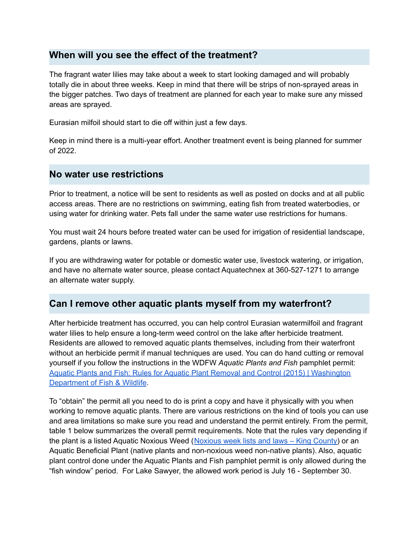### **When will you see the effect of the treatment?**

The fragrant water lilies may take about a week to start looking damaged and will probably totally die in about three weeks. Keep in mind that there will be strips of non-sprayed areas in the bigger patches. Two days of treatment are planned for each year to make sure any missed areas are sprayed.

Eurasian milfoil should start to die off within just a few days.

Keep in mind there is a multi-year effort. Another treatment event is being planned for summer of 2022.

### **No water use restrictions**

Prior to treatment, a notice will be sent to residents as well as posted on docks and at all public access areas. There are no restrictions on swimming, eating fish from treated waterbodies, or using water for drinking water. Pets fall under the same water use restrictions for humans.

You must wait 24 hours before treated water can be used for irrigation of residential landscape, gardens, plants or lawns.

If you are withdrawing water for potable or domestic water use, livestock watering, or irrigation, and have no alternate water source, please contact Aquatechnex at 360-527-1271 to arrange an alternate water supply.

# **Can I remove other aquatic plants myself from my waterfront?**

After herbicide treatment has occurred, you can help control Eurasian watermilfoil and fragrant water lilies to help ensure a long-term weed control on the lake after herbicide treatment. Residents are allowed to removed aquatic plants themselves, including from their waterfront without an herbicide permit if manual techniques are used. You can do hand cutting or removal yourself if you follow the instructions in the WDFW *Aquatic Plants and Fish* pamphlet permit: Aquatic Plants and Fish: Rules for Aquatic Plant Removal and Control (2015) | Washington Department of Fish & Wildlife.

To "obtain" the permit all you need to do is print a copy and have it physically with you when working to remove aquatic plants. There are various restrictions on the kind of tools you can use and area limitations so make sure you read and understand the permit entirely. From the permit, table 1 below summarizes the overall permit requirements. Note that the rules vary depending if the plant is a listed Aquatic Noxious Weed (Noxious week lists and laws – King County) or an Aquatic Beneficial Plant (native plants and non-noxious weed non-native plants). Also, aquatic plant control done under the Aquatic Plants and Fish pamphlet permit is only allowed during the "fish window" period. For Lake Sawyer, the allowed work period is July 16 - September 30.